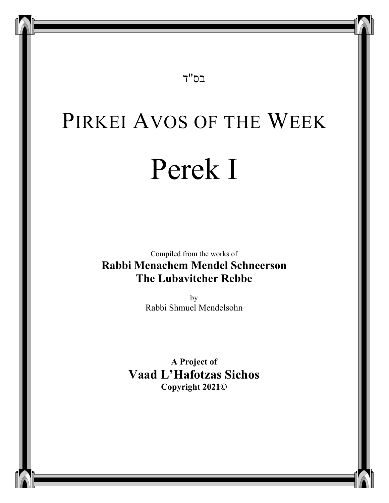# בס"ד

# PIRKEI AVOS OF THE WEEK Perek I

Compiled from the works of **Rabbi Menachem Mendel Schneerson The Lubavitcher Rebbe** 

> by Rabbi Shmuel Mendelsohn

**A Project of Vaad L'Hafotzas Sichos Copyright 2021©**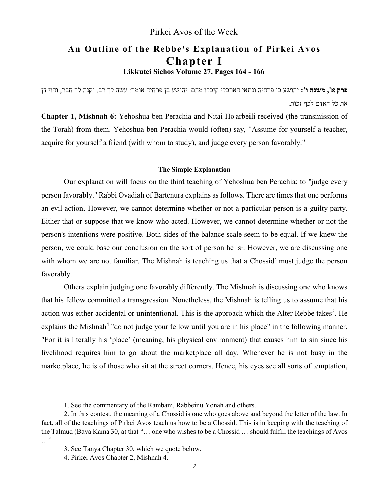#### Pirkei Avos of the Week

## **An Outline of the Rebbe 's Explanation of Pirke i Avos Chapter I Likkutei Sichos Volume 27, Pages 164 - 166**

**ו', משנה אפרק ':** יהושע בן פרחיה ונתאי הארבלי קיבלו מהם. יהושע בן פרחיה אומר : עשה לך רב, וקנה לך חבר, והוי דן את כל האדם לכף זכות.

**Chapter 1, Mishnah 6:** Yehoshua ben Perachia and Nitai Ho'arbeili received (the transmission of the Torah) from them. Yehoshua ben Perachia would (often) say, "Assume for yourself a teacher, acquire for yourself a friend (with whom to study), and judge every person favorably."

#### **The Simple Explanation**

Our explanation will focus on the third teaching of Yehoshua ben Perachia; to "judge every person favorably." Rabbi Ovadiah of Bartenura explains as follows. There are times that one performs an evil action. However, we cannot determine whether or not a particular person is a guilty party. Either that or suppose that we know who acted. However, we cannot determine whether or not the person's intentions were positive. Both sides of the balance scale seem to be equal. If we knew the person, we could base our conclusion on the sort of person he is<sup>1</sup>. However, we are discussing one with whom we are not familiar. The Mishnah is teaching us that a Chossid<sup>2</sup> must judge the person favorably.

Others explain judging one favorably differently. The Mishnah is discussing one who knows that his fellow committed a transgression. Nonetheless, the Mishnah is telling us to assume that his action was either accidental or unintentional. This is the approach which the Alter Rebbe takes<sup>3</sup>. He explains the Mishnah<sup>4</sup> "do not judge your fellow until you are in his place" in the following manner. "For it is literally his 'place' (meaning, his physical environment) that causes him to sin since his livelihood requires him to go about the marketplace all day. Whenever he is not busy in the marketplace, he is of those who sit at the street corners. Hence, his eyes see all sorts of temptation,

<sup>1.</sup> See the commentary of the Rambam, Rabbeinu Yonah and others.

<sup>2.</sup> In this contest, the meaning of a Chossid is one who goes above and beyond the letter of the law. In fact, all of the teachings of Pirkei Avos teach us how to be a Chossid. This is in keeping with the teaching of the Talmud (Bava Kama 30, a) that "… one who wishes to be a Chossid … should fulfill the teachings of Avos …"

<sup>3.</sup> See Tanya Chapter 30, which we quote below.

<sup>4.</sup> Pirkei Avos Chapter 2, Mishnah 4.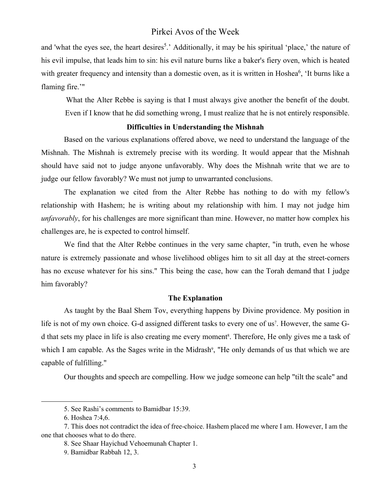#### Pirkei Avos of the Week

and 'what the eyes see, the heart desires<sup>5</sup>.' Additionally, it may be his spiritual 'place,' the nature of his evil impulse, that leads him to sin: his evil nature burns like a baker's fiery oven, which is heated with greater frequency and intensity than a domestic oven, as it is written in Hoshea<sup>6</sup>, 'It burns like a flaming fire.'"

What the Alter Rebbe is saying is that I must always give another the benefit of the doubt. Even if I know that he did something wrong, I must realize that he is not entirely responsible.

#### **Difficulties in Understanding the Mishnah**

Based on the various explanations offered above, we need to understand the language of the Mishnah. The Mishnah is extremely precise with its wording. It would appear that the Mishnah should have said not to judge anyone unfavorably. Why does the Mishnah write that we are to judge our fellow favorably? We must not jump to unwarranted conclusions.

The explanation we cited from the Alter Rebbe has nothing to do with my fellow's relationship with Hashem; he is writing about my relationship with him. I may not judge him *unfavorably*, for his challenges are more significant than mine. However, no matter how complex his challenges are, he is expected to control himself.

We find that the Alter Rebbe continues in the very same chapter, "in truth, even he whose nature is extremely passionate and whose livelihood obliges him to sit all day at the street-corners has no excuse whatever for his sins." This being the case, how can the Torah demand that I judge him favorably?

#### **The Explanation**

As taught by the Baal Shem Tov, everything happens by Divine providence. My position in life is not of my own choice. G-d assigned different tasks to every one of us<sup>7</sup>. However, the same Gd that sets my place in life is also creating me every moment<sup>8</sup>. Therefore, He only gives me a task of which I am capable. As the Sages write in the Midrash<sup>9</sup>, "He only demands of us that which we are capable of fulfilling."

Our thoughts and speech are compelling. How we judge someone can help "tilt the scale" and

<sup>5.</sup> See Rashi's comments to Bamidbar 15:39.

<sup>6.</sup> Hoshea 7:4,6.

<sup>7.</sup> This does not contradict the idea of free-choice. Hashem placed me where I am. However, I am the one that chooses what to do there.

<sup>8.</sup> See Shaar Hayichud Vehoemunah Chapter 1.

<sup>9</sup>. Bamidbar Rabbah 12, 3.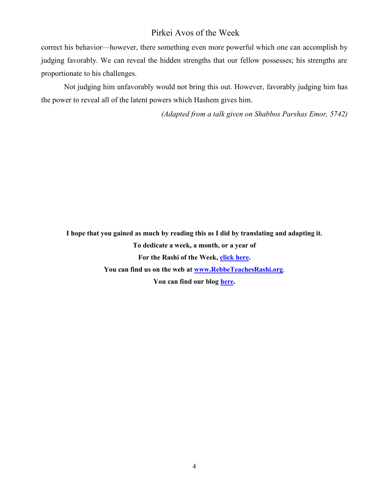### Pirkei Avos of the Week

correct his behavior—however, there something even more powerful which one can accomplish by judging favorably. We can reveal the hidden strengths that our fellow possesses; his strengths are proportionate to his challenges.

Not judging him unfavorably would not bring this out. However, favorably judging him has the power to reveal all of the latent powers which Hashem gives him.

*(Adapted from a talk given on Shabbos Parshas Emor, 5742)*

**I hope that you gained as much by reading this as I did by translating and adapting it. To dedicate a week, a month, or a year of For the Rashi of the Week, click here. You can find us on the web at www.RebbeTeachesRashi.org**. **You can find our blog here.**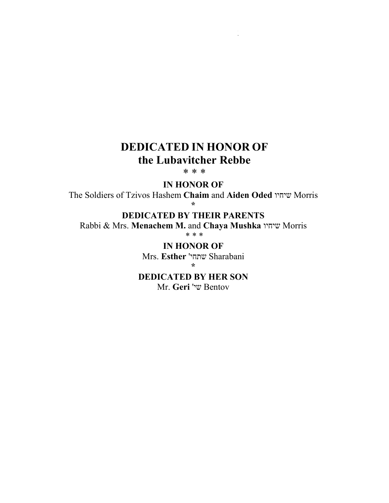## **DEDICATED IN HONOR OF the Lubavitcher Rebbe**

THE RASHI OF THE WEEK

\* \* \*

**IN HONOR OF**

The Soldiers of Tzivos Hashem **Chaim** and **Aiden Oded** שיחיו Morris **\***

**DEDICATED BY THEIR PARENTS**

Rabbi & Mrs. **Menachem M.** and **Chaya Mushka** שיחיו Morris

\* \* \*

**IN HONOR OF** Mrs. **Esther** 'שתחי Sharabani **\***

**DEDICATED BY HER SON** Mr. **Geri** 'שי Bentov